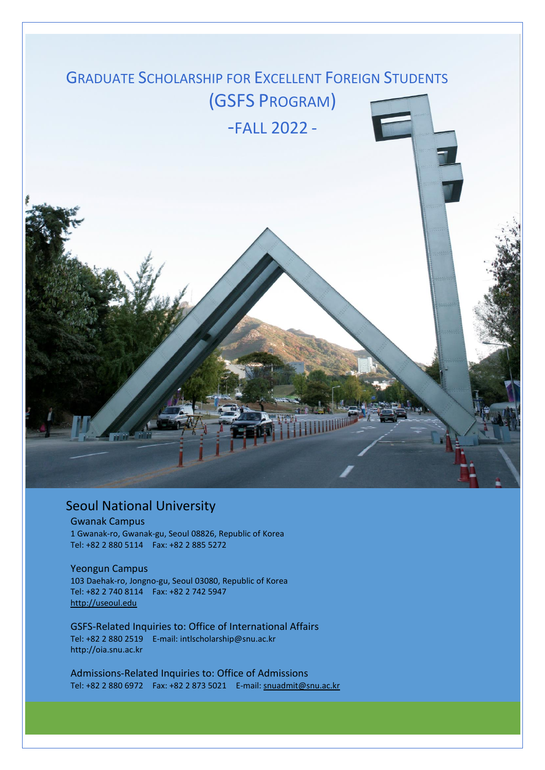

# Seoul National University

#### Gwanak Campus

1 Gwanak-ro, Gwanak-gu, Seoul 08826, Republic of Korea Tel: +82 2 880 5114 Fax: +82 2 885 5272

#### Yeongun Campus

103 Daehak-ro, Jongno-gu, Seoul 03080, Republic of Korea Tel: +82 2 740 8114 Fax: +82 2 742 5947 [http://useoul.edu](http://useoul.edu/)

GSFS-Related Inquiries to: Office of International Affairs Tel: +82 2 880 2519 E-mail: intlscholarship@snu.ac.kr [http://oia.snu.ac.kr](http://oia.snu.ac.kr/)

Admissions-Related Inquiries to: Office of Admissions Tel: +82 2 880 6972 Fax: +82 2 873 5021 E-mail: [snuadmit@snu.ac.kr](mailto:snuadmit@snu.ac.kr)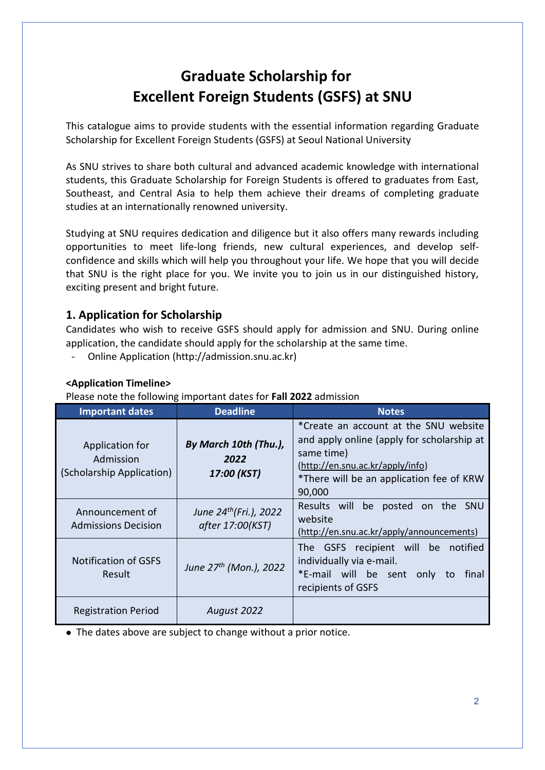# **Graduate Scholarship for Excellent Foreign Students (GSFS) at SNU**

This catalogue aims to provide students with the essential information regarding Graduate Scholarship for Excellent Foreign Students (GSFS) at Seoul National University

As SNU strives to share both cultural and advanced academic knowledge with international students, this Graduate Scholarship for Foreign Students is offered to graduates from East, Southeast, and Central Asia to help them achieve their dreams of completing graduate studies at an internationally renowned university.

Studying at SNU requires dedication and diligence but it also offers many rewards including opportunities to meet life-long friends, new cultural experiences, and develop selfconfidence and skills which will help you throughout your life. We hope that you will decide that SNU is the right place for you. We invite you to join us in our distinguished history, exciting present and bright future.

## **1. Application for Scholarship**

Candidates who wish to receive GSFS should apply for admission and SNU. During online application, the candidate should apply for the scholarship at the same time.

- Online Application [\(http://admission.snu.ac.kr\)](http://admission.snu.ac.kr/)

## **<Application Timeline>**

Please note the following important dates for **Fall 2022** admission

| <b>Important dates</b>                                    | <b>Deadline</b>                                 | <b>Notes</b>                                                                                                                                                                                |
|-----------------------------------------------------------|-------------------------------------------------|---------------------------------------------------------------------------------------------------------------------------------------------------------------------------------------------|
| Application for<br>Admission<br>(Scholarship Application) | By March 10th (Thu.),<br>2022<br>17:00 (KST)    | *Create an account at the SNU website<br>and apply online (apply for scholarship at<br>same time)<br>(http://en.snu.ac.kr/apply/info)<br>*There will be an application fee of KRW<br>90,000 |
| Announcement of<br>Admissions Decision                    | June $24^{th}$ (Fri.), 2022<br>after 17:00(KST) | Results will be posted on the<br><b>SNU</b><br>website<br>(http://en.snu.ac.kr/apply/announcements)                                                                                         |
| <b>Notification of GSFS</b><br>Result                     | June 27 <sup>th</sup> (Mon.), 2022              | The GSFS recipient will be notified<br>individually via e-mail.<br>*E-mail will be sent<br>final<br>only<br>to<br>recipients of GSFS                                                        |
| <b>Registration Period</b>                                | August 2022                                     |                                                                                                                                                                                             |

The dates above are subject to change without a prior notice.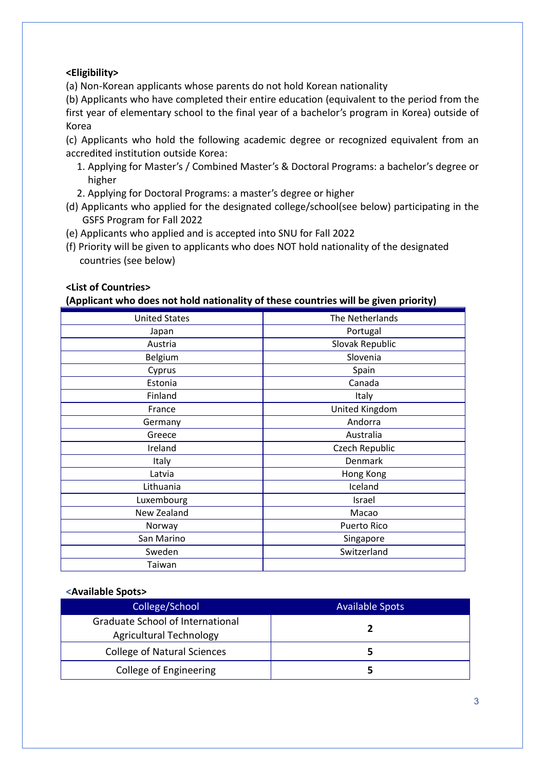#### **<Eligibility>**

(a) Non-Korean applicants whose parents do not hold Korean nationality

(b) Applicants who have completed their entire education (equivalent to the period from the first year of elementary school to the final year of a bachelor's program in Korea) outside of Korea

(c) Applicants who hold the following academic degree or recognized equivalent from an accredited institution outside Korea:

- 1. Applying for Master's / Combined Master's & Doctoral Programs: a bachelor's degree or higher
- 2. Applying for Doctoral Programs: a master's degree or higher
- (d) Applicants who applied for the designated college/school(see below) participating in the GSFS Program for Fall 2022
- (e) Applicants who applied and is accepted into SNU for Fall 2022
- (f) Priority will be given to applicants who does NOT hold nationality of the designated countries (see below)

#### **<List of Countries>**

#### **(Applicant who does not hold nationality of these countries will be given priority)**

| <b>United States</b> | The Netherlands    |
|----------------------|--------------------|
| Japan                | Portugal           |
| Austria              | Slovak Republic    |
| Belgium              | Slovenia           |
| Cyprus               | Spain              |
| Estonia              | Canada             |
| Finland              | Italy              |
| France               | United Kingdom     |
| Germany              | Andorra            |
| Greece               | Australia          |
| Ireland              | Czech Republic     |
| Italy                | Denmark            |
| Latvia               | Hong Kong          |
| Lithuania            | Iceland            |
| Luxembourg           | Israel             |
| New Zealand          | Macao              |
| Norway               | <b>Puerto Rico</b> |
| San Marino           | Singapore          |
| Sweden               | Switzerland        |
| Taiwan               |                    |

#### **<Available Spots>**

| College/School                                                     | <b>Available Spots</b> |
|--------------------------------------------------------------------|------------------------|
| Graduate School of International<br><b>Agricultural Technology</b> |                        |
| <b>College of Natural Sciences</b>                                 |                        |
| College of Engineering                                             |                        |